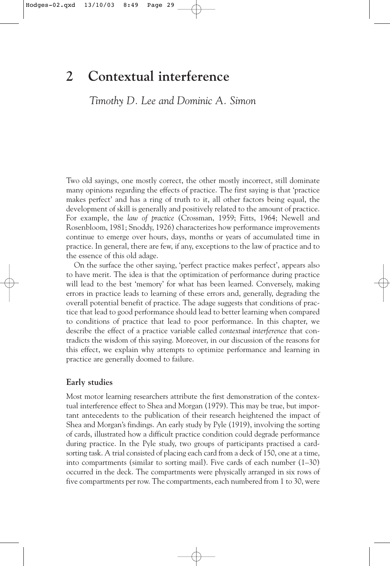# **2 Contextual interference**

*Timothy D. Lee and Dominic A. Simon*

Two old sayings, one mostly correct, the other mostly incorrect, still dominate many opinions regarding the effects of practice. The first saying is that 'practice makes perfect' and has a ring of truth to it, all other factors being equal, the development of skill is generally and positively related to the amount of practice. For example, the *law of practice* (Crossman, 1959; Fitts, 1964; Newell and Rosenbloom, 1981; Snoddy, 1926) characterizes how performance improvements continue to emerge over hours, days, months or years of accumulated time in practice. In general, there are few, if any, exceptions to the law of practice and to the essence of this old adage.

On the surface the other saying, 'perfect practice makes perfect', appears also to have merit. The idea is that the optimization of performance during practice will lead to the best 'memory' for what has been learned. Conversely, making errors in practice leads to learning of these errors and, generally, degrading the overall potential benefit of practice. The adage suggests that conditions of practice that lead to good performance should lead to better learning when compared to conditions of practice that lead to poor performance. In this chapter, we describe the effect of a practice variable called *contextual interference* that contradicts the wisdom of this saying. Moreover, in our discussion of the reasons for this effect, we explain why attempts to optimize performance and learning in practice are generally doomed to failure.

## **Early studies**

Most motor learning researchers attribute the first demonstration of the contextual interference effect to Shea and Morgan (1979). This may be true, but important antecedents to the publication of their research heightened the impact of Shea and Morgan's findings. An early study by Pyle (1919), involving the sorting of cards, illustrated how a difficult practice condition could degrade performance during practice. In the Pyle study, two groups of participants practised a cardsorting task. A trial consisted of placing each card from a deck of 150, one at a time, into compartments (similar to sorting mail). Five cards of each number (1–30) occurred in the deck. The compartments were physically arranged in six rows of five compartments per row. The compartments, each numbered from 1 to 30, were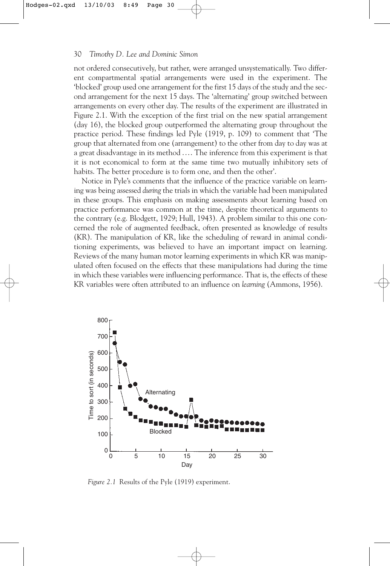not ordered consecutively, but rather, were arranged unsystematically. Two different compartmental spatial arrangements were used in the experiment. The 'blocked' group used one arrangement for the first 15 days of the study and the second arrangement for the next 15 days. The 'alternating' group switched between arrangements on every other day. The results of the experiment are illustrated in Figure 2.1. With the exception of the first trial on the new spatial arrangement (day 16), the blocked group outperformed the alternating group throughout the practice period. These findings led Pyle (1919, p. 109) to comment that 'The group that alternated from one (arrangement) to the other from day to day was at a great disadvantage in its method .... The inference from this experiment is that it is not economical to form at the same time two mutually inhibitory sets of habits. The better procedure is to form one, and then the other'.

Notice in Pyle's comments that the influence of the practice variable on learning was being assessed *during* the trials in which the variable had been manipulated in these groups. This emphasis on making assessments about learning based on practice performance was common at the time, despite theoretical arguments to the contrary (e.g. Blodgett, 1929; Hull, 1943). A problem similar to this one concerned the role of augmented feedback, often presented as knowledge of results (KR). The manipulation of KR, like the scheduling of reward in animal conditioning experiments, was believed to have an important impact on learning. Reviews of the many human motor learning experiments in which KR was manipulated often focused on the effects that these manipulations had during the time in which these variables were influencing performance. That is, the effects of these KR variables were often attributed to an influence on *learning* (Ammons, 1956).



*Figure 2.1* Results of the Pyle (1919) experiment.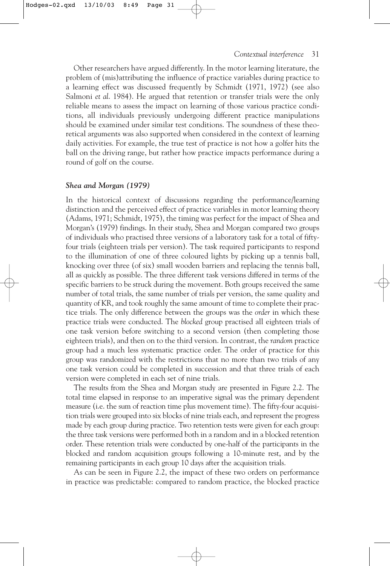Other researchers have argued differently. In the motor learning literature, the problem of (mis)attributing the influence of practice variables during practice to a learning effect was discussed frequently by Schmidt (1971, 1972) (see also Salmoni *et al*. 1984). He argued that retention or transfer trials were the only reliable means to assess the impact on learning of those various practice conditions, all individuals previously undergoing different practice manipulations should be examined under similar test conditions. The soundness of these theoretical arguments was also supported when considered in the context of learning daily activities. For example, the true test of practice is not how a golfer hits the ball on the driving range, but rather how practice impacts performance during a round of golf on the course.

#### *Shea and Morgan (1979)*

In the historical context of discussions regarding the performance/learning distinction and the perceived effect of practice variables in motor learning theory (Adams, 1971; Schmidt, 1975), the timing was perfect for the impact of Shea and Morgan's (1979) findings. In their study, Shea and Morgan compared two groups of individuals who practised three versions of a laboratory task for a total of fiftyfour trials (eighteen trials per version). The task required participants to respond to the illumination of one of three coloured lights by picking up a tennis ball, knocking over three (of six) small wooden barriers and replacing the tennis ball, all as quickly as possible. The three different task versions differed in terms of the specific barriers to be struck during the movement. Both groups received the same number of total trials, the same number of trials per version, the same quality and quantity of KR, and took roughly the same amount of time to complete their practice trials. The only difference between the groups was the *order* in which these practice trials were conducted. The *blocked* group practised all eighteen trials of one task version before switching to a second version (then completing those eighteen trials), and then on to the third version. In contrast, the *random* practice group had a much less systematic practice order. The order of practice for this group was randomized with the restrictions that no more than two trials of any one task version could be completed in succession and that three trials of each version were completed in each set of nine trials.

The results from the Shea and Morgan study are presented in Figure 2.2. The total time elapsed in response to an imperative signal was the primary dependent measure (i.e. the sum of reaction time plus movement time). The fifty-four acquisition trials were grouped into six blocks of nine trials each, and represent the progress made by each group during practice. Two retention tests were given for each group: the three task versions were performed both in a random and in a blocked retention order. These retention trials were conducted by one-half of the participants in the blocked and random acquisition groups following a 10-minute rest, and by the remaining participants in each group 10 days after the acquisition trials.

As can be seen in Figure 2.2, the impact of these two orders on performance in practice was predictable: compared to random practice, the blocked practice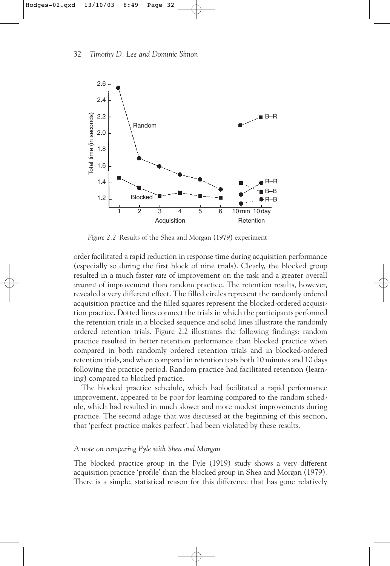

*Figure 2.2* Results of the Shea and Morgan (1979) experiment.

order facilitated a rapid reduction in response time during acquisition performance (especially so during the first block of nine trials). Clearly, the blocked group resulted in a much faster *rate* of improvement on the task and a greater overall *amount* of improvement than random practice. The retention results, however, revealed a very different effect. The filled circles represent the randomly ordered acquisition practice and the filled squares represent the blocked-ordered acquisition practice. Dotted lines connect the trials in which the participants performed the retention trials in a blocked sequence and solid lines illustrate the randomly ordered retention trials. Figure 2.2 illustrates the following findings: random practice resulted in better retention performance than blocked practice when compared in both randomly ordered retention trials and in blocked-ordered retention trials, and when compared in retention tests both 10 minutes and 10 days following the practice period. Random practice had facilitated retention (learning) compared to blocked practice.

The blocked practice schedule, which had facilitated a rapid performance improvement, appeared to be poor for learning compared to the random schedule, which had resulted in much slower and more modest improvements during practice. The second adage that was discussed at the beginning of this section, that 'perfect practice makes perfect', had been violated by these results.

## *A note on comparing Pyle with Shea and Morgan*

The blocked practice group in the Pyle (1919) study shows a very different acquisition practice 'profile' than the blocked group in Shea and Morgan (1979). There is a simple, statistical reason for this difference that has gone relatively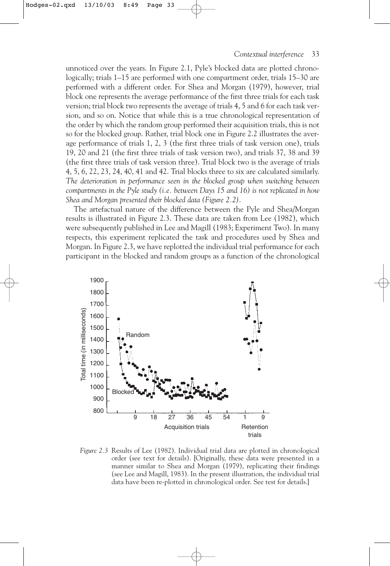unnoticed over the years. In Figure 2.1, Pyle's blocked data are plotted chronologically; trials 1–15 are performed with one compartment order, trials 15–30 are performed with a different order. For Shea and Morgan (1979), however, trial block one represents the average performance of the first three trials for each task version; trial block two represents the average of trials 4, 5 and 6 for each task version, and so on. Notice that while this is a true chronological representation of the order by which the random group performed their acquisition trials, this is not so for the blocked group. Rather, trial block one in Figure 2.2 illustrates the average performance of trials 1, 2, 3 (the first three trials of task version one), trials 19, 20 and 21 (the first three trials of task version two), and trials 37, 38 and 39 (the first three trials of task version three). Trial block two is the average of trials 4, 5, 6, 22, 23, 24, 40, 41 and 42. Trial blocks three to six are calculated similarly. *The deterioration in performance seen in the blocked group when switching between compartments in the Pyle study (i.e. between Days 15 and 16) is not replicated in how Shea and Morgan presented their blocked data (Figure 2.2)*.

The artefactual nature of the difference between the Pyle and Shea/Morgan results is illustrated in Figure 2.3. These data are taken from Lee (1982), which were subsequently published in Lee and Magill (1983; Experiment Two). In many respects, this experiment replicated the task and procedures used by Shea and Morgan. In Figure 2.3, we have replotted the individual trial performance for each participant in the blocked and random groups as a function of the chronological



*Figure 2.3* Results of Lee (1982). Individual trial data are plotted in chronological order (see text for details). [Originally, these data were presented in a manner similar to Shea and Morgan (1979), replicating their findings (see Lee and Magill, 1983). In the present illustration, the individual trial data have been re-plotted in chronological order. See test for details.]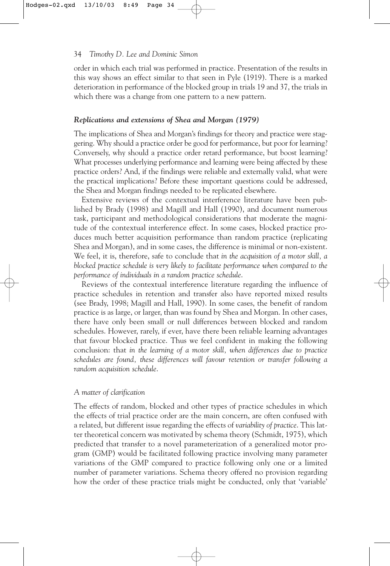#### 34 *Timothy D. Lee and Dominic Simon*

order in which each trial was performed in practice. Presentation of the results in this way shows an effect similar to that seen in Pyle (1919). There is a marked deterioration in performance of the blocked group in trials 19 and 37, the trials in which there was a change from one pattern to a new pattern.

#### *Replications and extensions of Shea and Morgan (1979)*

The implications of Shea and Morgan's findings for theory and practice were staggering. Why should a practice order be good for performance, but poor for learning? Conversely, why should a practice order retard performance, but boost learning? What processes underlying performance and learning were being affected by these practice orders? And, if the findings were reliable and externally valid, what were the practical implications? Before these important questions could be addressed, the Shea and Morgan findings needed to be replicated elsewhere.

Extensive reviews of the contextual interference literature have been published by Brady (1998) and Magill and Hall (1990), and document numerous task, participant and methodological considerations that moderate the magnitude of the contextual interference effect. In some cases, blocked practice produces much better acquisition performance than random practice (replicating Shea and Morgan), and in some cases, the difference is minimal or non-existent. We feel, it is, therefore, safe to conclude that *in the acquisition of a motor skill, a blocked practice schedule is very likely to facilitate performance when compared to the performance of individuals in a random practice schedule*.

Reviews of the contextual interference literature regarding the influence of practice schedules in retention and transfer also have reported mixed results (see Brady, 1998; Magill and Hall, 1990). In some cases, the benefit of random practice is as large, or larger, than was found by Shea and Morgan. In other cases, there have only been small or null differences between blocked and random schedules. However, rarely, if ever, have there been reliable learning advantages that favour blocked practice. Thus we feel confident in making the following conclusion: that *in the learning of a motor skill, when differences due to practice schedules are found, these differences will favour retention or transfer following a random acquisition schedule*.

## *A matter of clarification*

The effects of random, blocked and other types of practice schedules in which the effects of trial practice order are the main concern, are often confused with a related, but different issue regarding the effects of *variability of practice*. This latter theoretical concern was motivated by schema theory (Schmidt, 1975), which predicted that transfer to a novel parameterization of a generalized motor program (GMP) would be facilitated following practice involving many parameter variations of the GMP compared to practice following only one or a limited number of parameter variations. Schema theory offered no provision regarding how the order of these practice trials might be conducted, only that 'variable'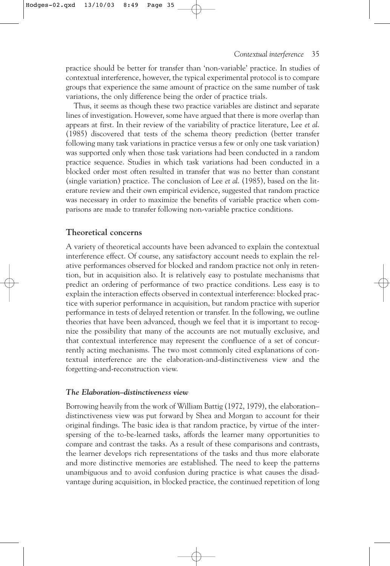practice should be better for transfer than 'non-variable' practice. In studies of contextual interference, however, the typical experimental protocol is to compare groups that experience the same amount of practice on the same number of task variations, the only difference being the order of practice trials.

Thus, it seems as though these two practice variables are distinct and separate lines of investigation. However, some have argued that there is more overlap than appears at first. In their review of the variability of practice literature, Lee *et al*. (1985) discovered that tests of the schema theory prediction (better transfer following many task variations in practice versus a few or only one task variation) was supported only when those task variations had been conducted in a random practice sequence. Studies in which task variations had been conducted in a blocked order most often resulted in transfer that was no better than constant (single variation) practice. The conclusion of Lee *et al*. (1985), based on the literature review and their own empirical evidence, suggested that random practice was necessary in order to maximize the benefits of variable practice when comparisons are made to transfer following non-variable practice conditions.

## **Theoretical concerns**

A variety of theoretical accounts have been advanced to explain the contextual interference effect. Of course, any satisfactory account needs to explain the relative performances observed for blocked and random practice not only in retention, but in acquisition also. It is relatively easy to postulate mechanisms that predict an ordering of performance of two practice conditions. Less easy is to explain the interaction effects observed in contextual interference: blocked practice with superior performance in acquisition, but random practice with superior performance in tests of delayed retention or transfer. In the following, we outline theories that have been advanced, though we feel that it is important to recognize the possibility that many of the accounts are not mutually exclusive, and that contextual interference may represent the confluence of a set of concurrently acting mechanisms. The two most commonly cited explanations of contextual interference are the elaboration-and-distinctiveness view and the forgetting-and-reconstruction view.

## *The Elaboration–distinctiveness view*

Borrowing heavily from the work of William Battig (1972, 1979), the elaboration– distinctiveness view was put forward by Shea and Morgan to account for their original findings. The basic idea is that random practice, by virtue of the interspersing of the to-be-learned tasks, affords the learner many opportunities to compare and contrast the tasks. As a result of these comparisons and contrasts, the learner develops rich representations of the tasks and thus more elaborate and more distinctive memories are established. The need to keep the patterns unambiguous and to avoid confusion during practice is what causes the disadvantage during acquisition, in blocked practice, the continued repetition of long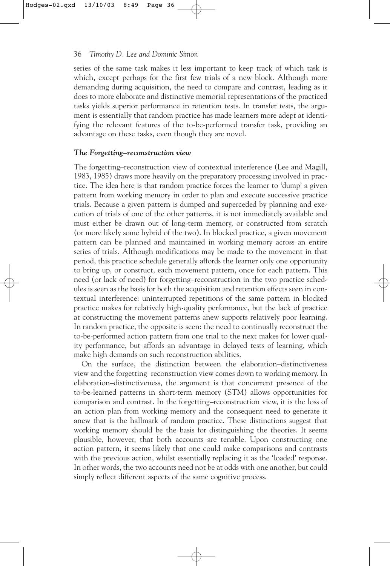series of the same task makes it less important to keep track of which task is which, except perhaps for the first few trials of a new block. Although more demanding during acquisition, the need to compare and contrast, leading as it does to more elaborate and distinctive memorial representations of the practiced tasks yields superior performance in retention tests. In transfer tests, the argument is essentially that random practice has made learners more adept at identifying the relevant features of the to-be-performed transfer task, providing an advantage on these tasks, even though they are novel.

## *The Forgetting–reconstruction view*

The forgetting–reconstruction view of contextual interference (Lee and Magill, 1983, 1985) draws more heavily on the preparatory processing involved in practice. The idea here is that random practice forces the learner to 'dump' a given pattern from working memory in order to plan and execute successive practice trials. Because a given pattern is dumped and superceded by planning and execution of trials of one of the other patterns, it is not immediately available and must either be drawn out of long-term memory, or constructed from scratch (or more likely some hybrid of the two). In blocked practice, a given movement pattern can be planned and maintained in working memory across an entire series of trials. Although modifications may be made to the movement in that period, this practice schedule generally affords the learner only one opportunity to bring up, or construct, each movement pattern, once for each pattern. This need (or lack of need) for forgetting–reconstruction in the two practice schedules is seen as the basis for both the acquisition and retention effects seen in contextual interference: uninterrupted repetitions of the same pattern in blocked practice makes for relatively high-quality performance, but the lack of practice at constructing the movement patterns anew supports relatively poor learning. In random practice, the opposite is seen: the need to continually reconstruct the to-be-performed action pattern from one trial to the next makes for lower quality performance, but affords an advantage in delayed tests of learning, which make high demands on such reconstruction abilities.

On the surface, the distinction between the elaboration–distinctiveness view and the forgetting–reconstruction view comes down to working memory. In elaboration–distinctiveness, the argument is that concurrent presence of the to-be-learned patterns in short-term memory (STM) allows opportunities for comparison and contrast. In the forgetting–reconstruction view, it is the loss of an action plan from working memory and the consequent need to generate it anew that is the hallmark of random practice. These distinctions suggest that working memory should be the basis for distinguishing the theories. It seems plausible, however, that both accounts are tenable. Upon constructing one action pattern, it seems likely that one could make comparisons and contrasts with the previous action, whilst essentially replacing it as the 'loaded' response. In other words, the two accounts need not be at odds with one another, but could simply reflect different aspects of the same cognitive process.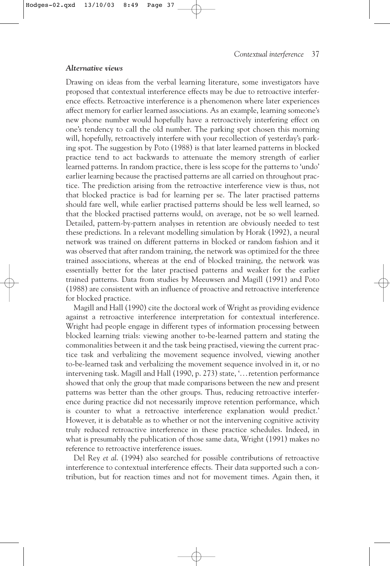### *Alternative views*

Drawing on ideas from the verbal learning literature, some investigators have proposed that contextual interference effects may be due to retroactive interference effects. Retroactive interference is a phenomenon where later experiences affect memory for earlier learned associations. As an example, learning someone's new phone number would hopefully have a retroactively interfering effect on one's tendency to call the old number. The parking spot chosen this morning will, hopefully, retroactively interfere with your recollection of yesterday's parking spot. The suggestion by Poto (1988) is that later learned patterns in blocked practice tend to act backwards to attenuate the memory strength of earlier learned patterns. In random practice, there is less scope for the patterns to 'undo' earlier learning because the practised patterns are all carried on throughout practice. The prediction arising from the retroactive interference view is thus, not that blocked practice is bad for learning per se. The later practised patterns should fare well, while earlier practised patterns should be less well learned, so that the blocked practised patterns would, on average, not be so well learned. Detailed, pattern-by-pattern analyses in retention are obviously needed to test these predictions. In a relevant modelling simulation by Horak (1992), a neural network was trained on different patterns in blocked or random fashion and it was observed that after random training, the network was optimized for the three trained associations, whereas at the end of blocked training, the network was essentially better for the later practised patterns and weaker for the earlier trained patterns. Data from studies by Meeuwsen and Magill (1991) and Poto (1988) are consistent with an influence of proactive and retroactive interference for blocked practice.

Magill and Hall (1990) cite the doctoral work of Wright as providing evidence against a retroactive interference interpretation for contextual interference. Wright had people engage in different types of information processing between blocked learning trials: viewing another to-be-learned pattern and stating the commonalities between it and the task being practised, viewing the current practice task and verbalizing the movement sequence involved, viewing another to-be-learned task and verbalizing the movement sequence involved in it, or no intervening task. Magill and Hall (1990, p. 273) state, '...retention performance showed that only the group that made comparisons between the new and present patterns was better than the other groups. Thus, reducing retroactive interference during practice did not necessarily improve retention performance, which is counter to what a retroactive interference explanation would predict.' However, it is debatable as to whether or not the intervening cognitive activity truly reduced retroactive interference in these practice schedules. Indeed, in what is presumably the publication of those same data, Wright (1991) makes no reference to retroactive interference issues.

Del Rey *et al*. (1994) also searched for possible contributions of retroactive interference to contextual interference effects. Their data supported such a contribution, but for reaction times and not for movement times. Again then, it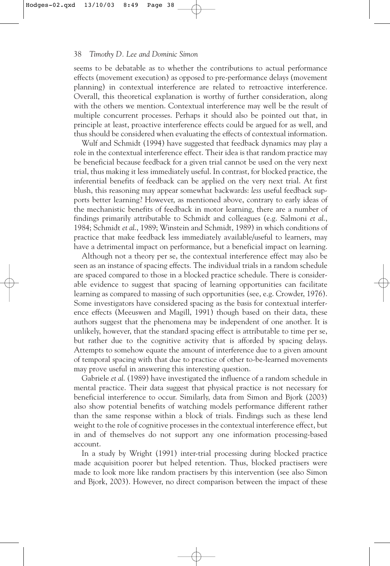seems to be debatable as to whether the contributions to actual performance effects (movement execution) as opposed to pre-performance delays (movement planning) in contextual interference are related to retroactive interference. Overall, this theoretical explanation is worthy of further consideration, along with the others we mention. Contextual interference may well be the result of multiple concurrent processes. Perhaps it should also be pointed out that, in principle at least, proactive interference effects could be argued for as well, and thus should be considered when evaluating the effects of contextual information.

Wulf and Schmidt (1994) have suggested that feedback dynamics may play a role in the contextual interference effect. Their idea is that random practice may be beneficial because feedback for a given trial cannot be used on the very next trial, thus making it less immediately useful. In contrast, for blocked practice, the inferential benefits of feedback can be applied on the very next trial. At first blush, this reasoning may appear somewhat backwards: *less* useful feedback supports better learning? However, as mentioned above, contrary to early ideas of the mechanistic benefits of feedback in motor learning, there are a number of findings primarily attributable to Schmidt and colleagues (e.g. Salmoni *et al*., 1984; Schmidt *et al*., 1989; Winstein and Schmidt, 1989) in which conditions of practice that make feedback less immediately available/useful to learners, may have a detrimental impact on performance, but a beneficial impact on learning.

Although not a theory per se, the contextual interference effect may also be seen as an instance of spacing effects. The individual trials in a random schedule are spaced compared to those in a blocked practice schedule. There is considerable evidence to suggest that spacing of learning opportunities can facilitate learning as compared to massing of such opportunities (see, e.g. Crowder, 1976). Some investigators have considered spacing as the basis for contextual interference effects (Meeuswen and Magill, 1991) though based on their data, these authors suggest that the phenomena may be independent of one another. It is unlikely, however, that the standard spacing effect is attributable to time per se, but rather due to the cognitive activity that is afforded by spacing delays. Attempts to somehow equate the amount of interference due to a given amount of temporal spacing with that due to practice of other to-be-learned movements may prove useful in answering this interesting question.

Gabriele *et al*. (1989) have investigated the influence of a random schedule in mental practice. Their data suggest that physical practice is not necessary for beneficial interference to occur. Similarly, data from Simon and Bjork (2003) also show potential benefits of watching models performance different rather than the same response within a block of trials. Findings such as these lend weight to the role of cognitive processes in the contextual interference effect, but in and of themselves do not support any one information processing-based account.

In a study by Wright (1991) inter-trial processing during blocked practice made acquisition poorer but helped retention. Thus, blocked practisers were made to look more like random practisers by this intervention (see also Simon and Bjork, 2003). However, no direct comparison between the impact of these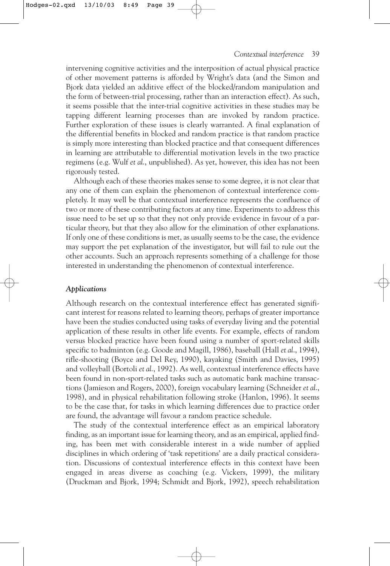intervening cognitive activities and the interposition of actual physical practice of other movement patterns is afforded by Wright's data (and the Simon and Bjork data yielded an additive effect of the blocked/random manipulation and the form of between-trial processing, rather than an interaction effect). As such, it seems possible that the inter-trial cognitive activities in these studies may be tapping different learning processes than are invoked by random practice. Further exploration of these issues is clearly warranted. A final explanation of the differential benefits in blocked and random practice is that random practice is simply more interesting than blocked practice and that consequent differences in learning are attributable to differential motivation levels in the two practice regimens (e.g. Wulf *et al*., unpublished). As yet, however, this idea has not been rigorously tested.

Although each of these theories makes sense to some degree, it is not clear that any one of them can explain the phenomenon of contextual interference completely. It may well be that contextual interference represents the confluence of two or more of these contributing factors at any time. Experiments to address this issue need to be set up so that they not only provide evidence in favour of a particular theory, but that they also allow for the elimination of other explanations. If only one of these conditions is met, as usually seems to be the case, the evidence may support the pet explanation of the investigator, but will fail to rule out the other accounts. Such an approach represents something of a challenge for those interested in understanding the phenomenon of contextual interference.

## *Applications*

Although research on the contextual interference effect has generated significant interest for reasons related to learning theory, perhaps of greater importance have been the studies conducted using tasks of everyday living and the potential application of these results in other life events. For example, effects of random versus blocked practice have been found using a number of sport-related skills specific to badminton (e.g. Goode and Magill, 1986), baseball (Hall *et al*., 1994), rifle-shooting (Boyce and Del Rey, 1990), kayaking (Smith and Davies, 1995) and volleyball (Bortoli *et al*., 1992). As well, contextual interference effects have been found in non-sport-related tasks such as automatic bank machine transactions (Jamieson and Rogers, 2000), foreign vocabulary learning (Schneider *et al*., 1998), and in physical rehabilitation following stroke (Hanlon, 1996). It seems to be the case that, for tasks in which learning differences due to practice order are found, the advantage will favour a random practice schedule.

The study of the contextual interference effect as an empirical laboratory finding, as an important issue for learning theory, and as an empirical, applied finding, has been met with considerable interest in a wide number of applied disciplines in which ordering of 'task repetitions' are a daily practical consideration. Discussions of contextual interference effects in this context have been engaged in areas diverse as coaching (e.g. Vickers, 1999), the military (Druckman and Bjork, 1994; Schmidt and Bjork, 1992), speech rehabilitation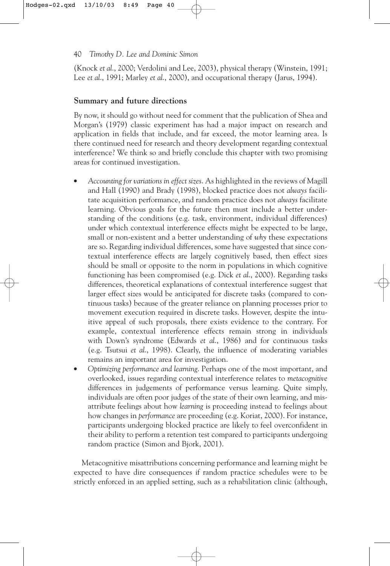## 40 *Timothy D. Lee and Dominic Simon*

(Knock *et al*., 2000; Verdolini and Lee, 2003), physical therapy (Winstein, 1991; Lee *et al*., 1991; Marley *et al*., 2000), and occupational therapy (Jarus, 1994).

## **Summary and future directions**

By now, it should go without need for comment that the publication of Shea and Morgan's (1979) classic experiment has had a major impact on research and application in fields that include, and far exceed, the motor learning area. Is there continued need for research and theory development regarding contextual interference? We think so and briefly conclude this chapter with two promising areas for continued investigation.

- *Accounting for variations in effect sizes*. As highlighted in the reviews of Magill and Hall (1990) and Brady (1998), blocked practice does not *always* facilitate acquisition performance, and random practice does not *always* facilitate learning. Obvious goals for the future then must include a better understanding of the conditions (e.g. task, environment, individual differences) under which contextual interference effects might be expected to be large, small or non-existent and a better understanding of *why* these expectations are so. Regarding individual differences, some have suggested that since contextual interference effects are largely cognitively based, then effect sizes should be small or opposite to the norm in populations in which cognitive functioning has been compromised (e.g. Dick *et al*., 2000). Regarding tasks differences, theoretical explanations of contextual interference suggest that larger effect sizes would be anticipated for discrete tasks (compared to continuous tasks) because of the greater reliance on planning processes prior to movement execution required in discrete tasks. However, despite the intuitive appeal of such proposals, there exists evidence to the contrary. For example, contextual interference effects remain strong in individuals with Down's syndrome (Edwards *et al*., 1986) and for continuous tasks (e.g. Tsutsui *et al*., 1998). Clearly, the influence of moderating variables remains an important area for investigation.
- *Optimizing performance and learning*. Perhaps one of the most important, and overlooked, issues regarding contextual interference relates to *metacognitive* differences in judgements of performance versus learning. Quite simply, individuals are often poor judges of the state of their own learning, and misattribute feelings about how *learning* is proceeding instead to feelings about how changes in *performance* are proceeding (e.g. Koriat, 2000). For instance, participants undergoing blocked practice are likely to feel overconfident in their ability to perform a retention test compared to participants undergoing random practice (Simon and Bjork, 2001).

Metacognitive misattributions concerning performance and learning might be expected to have dire consequences if random practice schedules were to be strictly enforced in an applied setting, such as a rehabilitation clinic (although,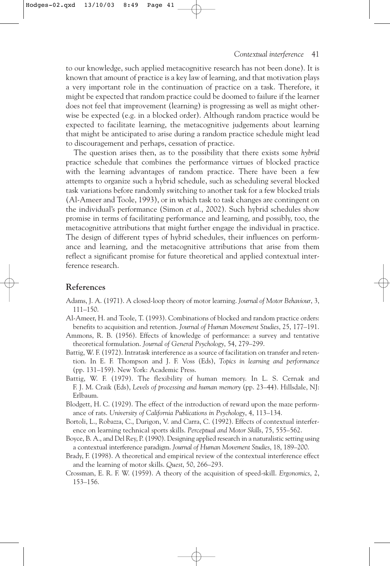to our knowledge, such applied metacognitive research has not been done). It is known that amount of practice is a key law of learning, and that motivation plays a very important role in the continuation of practice on a task. Therefore, it might be expected that random practice could be doomed to failure if the learner does not feel that improvement (learning) is progressing as well as might otherwise be expected (e.g. in a blocked order). Although random practice would be expected to facilitate learning, the metacognitive judgements about learning that might be anticipated to arise during a random practice schedule might lead to discouragement and perhaps, cessation of practice.

The question arises then, as to the possibility that there exists some *hybrid* practice schedule that combines the performance virtues of blocked practice with the learning advantages of random practice. There have been a few attempts to organize such a hybrid schedule, such as scheduling several blocked task variations before randomly switching to another task for a few blocked trials (Al-Ameer and Toole, 1993), or in which task to task changes are contingent on the individual's performance (Simon *et al*., 2002). Such hybrid schedules show promise in terms of facilitating performance and learning, and possibly, too, the metacognitive attributions that might further engage the individual in practice. The design of different types of hybrid schedules, their influences on performance and learning, and the metacognitive attributions that arise from them reflect a significant promise for future theoretical and applied contextual interference research.

## **References**

- Adams, J. A. (1971). A closed-loop theory of motor learning. *Journal of Motor Behaviour*, 3, 111–150.
- Al-Ameer, H. and Toole, T. (1993). Combinations of blocked and random practice orders: benefits to acquisition and retention. *Journal of Human Movement Studies*, 25, 177–191.
- Ammons, R. B. (1956). Effects of knowledge of performance: a survey and tentative theoretical formulation. *Journal of General Psychology*, 54, 279–299.
- Battig, W. F. (1972). Intratask interference as a source of facilitation on transfer and retention. In E. F. Thompson and J. F. Voss (Eds), *Topics in learning and performance* (pp. 131–159). New York: Academic Press.
- Battig, W. F. (1979). The flexibility of human memory. In L. S. Cernak and F. J. M. Craik (Eds), *Levels of processing and human memory* (pp. 23–44). Hillsdale, NJ: Erlbaum.
- Blodgett, H. C. (1929). The effect of the introduction of reward upon the maze performance of rats. *University of California Publications in Psychology*, 4, 113–134.
- Bortoli, L., Robazza, C., Durigon, V. and Carra, C. (1992). Effects of contextual interference on learning technical sports skills. *Perceptual and Motor Skills*, 75, 555–562.
- Boyce, B. A., and Del Rey, P. (1990). Designing applied research in a naturalistic setting using a contextual interference paradigm. *Journal of Human Movement Studies*, 18, 189–200.
- Brady, F. (1998). A theoretical and empirical review of the contextual interference effect and the learning of motor skills. *Quest*, 50, 266–293.
- Crossman, E. R. F. W. (1959). A theory of the acquisition of speed-skill. *Ergonomics*, 2, 153–156.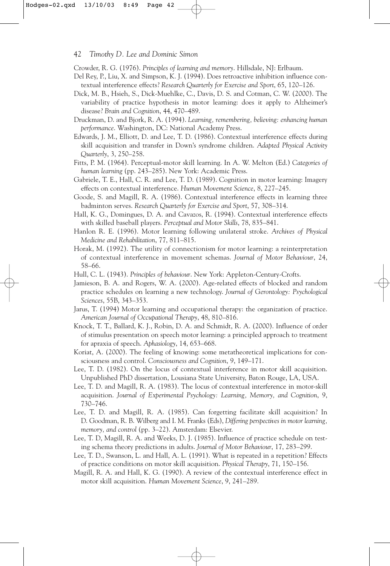#### 42 *Timothy D. Lee and Dominic Simon*

- Crowder, R. G. (1976). *Principles of learning and memory*. Hillsdale, NJ: Erlbaum.
- Del Rey, P., Liu, X. and Simpson, K. J. (1994). Does retroactive inhibition influence contextual interference effects? *Research Quarterly for Exercise and Sport*, 65, 120–126.
- Dick, M. B., Hsieh, S., Dick-Muehlke, C., Davis, D. S. and Cotman, C. W. (2000). The variability of practice hypothesis in motor learning: does it apply to Alzheimer's disease? *Brain and Cognition*, 44, 470–489.
- Druckman, D. and Bjork, R. A. (1994). *Learning, remembering, believing: enhancing human performance*. Washington, DC: National Academy Press.
- Edwards, J. M., Elliott, D. and Lee, T. D. (1986). Contextual interference effects during skill acquisition and transfer in Down's syndrome children. *Adapted Physical Activity Quarterly*, 3, 250–258.
- Fitts, P. M. (1964). Perceptual-motor skill learning. In A. W. Melton (Ed.) *Categories of human learning* (pp. 243–285). New York: Academic Press.
- Gabriele, T. E., Hall, C. R. and Lee, T. D. (1989). Cognition in motor learning: Imagery effects on contextual interference. *Human Movement Science*, 8, 227–245.
- Goode, S. and Magill, R. A. (1986). Contextual interference effects in learning three badminton serves. *Research Quarterly for Exercise and Sport*, 57, 308–314.
- Hall, K. G., Domingues, D. A. and Cavazos, R. (1994). Contextual interference effects with skilled baseball players. *Perceptual and Motor Skills*, 78, 835–841.
- Hanlon R. E. (1996). Motor learning following unilateral stroke. *Archives of Physical Medicine and Rehabilitation*, 77, 811–815.
- Horak, M. (1992). The utility of connectionism for motor learning: a reinterpretation of contextual interference in movement schemas. *Journal of Motor Behaviour*, 24, 58–66.
- Hull, C. L. (1943). *Principles of behaviour*. New York: Appleton-Century-Crofts.
- Jamieson, B. A. and Rogers, W. A. (2000). Age-related effects of blocked and random practice schedules on learning a new technology. *Journal of Gerontology: Psychological Sciences*, 55B, 343–353.
- Jarus, T. (1994) Motor learning and occupational therapy: the organization of practice. *American Journal of Occupational Therapy*, 48, 810–816.
- Knock, T. T., Ballard, K. J., Robin, D. A. and Schmidt, R. A. (2000). Influence of order of stimulus presentation on speech motor learning: a principled approach to treatment for apraxia of speech. *Aphasiology*, 14, 653–668.
- Koriat, A. (2000). The feeling of knowing: some metatheoretical implications for consciousness and control. *Consciousness and Cognition*, 9, 149–171.
- Lee, T. D. (1982). On the locus of contextual interference in motor skill acquisition. Unpublished PhD dissertation, Lousiana State University, Baton Rouge, LA, USA.
- Lee, T. D. and Magill, R. A. (1983). The locus of contextual interference in motor-skill acquisition. *Journal of Experimental Psychology: Learning, Memory, and Cognition*, 9, 730–746.
- Lee, T. D. and Magill, R. A. (1985). Can forgetting facilitate skill acquisition? In D. Goodman, R. B. Wilberg and I. M. Franks (Eds), *Differing perspectives in motor learning, memory, and control* (pp. 3–22). Amsterdam: Elsevier.
- Lee, T. D, Magill, R. A. and Weeks, D. J. (1985). Influence of practice schedule on testing schema theory predictions in adults. *Journal of Motor Behaviour*, 17, 283–299.
- Lee, T. D., Swanson, L. and Hall, A. L. (1991). What is repeated in a repetition? Effects of practice conditions on motor skill acquisition. *Physical Therapy*, 71, 150–156.
- Magill, R. A. and Hall, K. G. (1990). A review of the contextual interference effect in motor skill acquisition. *Human Movement Science*, 9, 241–289.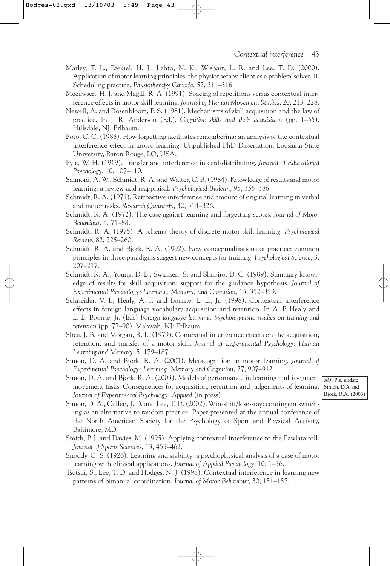- Marley, T. L., Ezekiel, H. J., Lehto, N. K., Wishart, L. R. and Lee, T. D. (2000). Application of motor learning principles: the physiotherapy client as a problem-solver. II. Scheduling practice. *Physiotherapy Canada*, 52, 311–316.
- Meeuwsen, H. J. and Magill, R. A. (1991). Spacing of repetitions versus contextual interference effects in motor skill learning. *Journal of Human Movement Studies*, 20, 213–228.
- Newell, A. and Rosenbloom, P. S. (1981). Mechanisms of skill acquisition and the law of practice. In J. R. Anderson (Ed.), *Cognitive skills and their acquisition* (pp. 1–55). Hillsdale, NJ: Erlbaum.
- Poto, C. C. (1988). How forgetting facilitates remembering: an analysis of the contextual interference effect in motor learning. Unpublished PhD Dissertation, Lousiana State University, Baton Rouge, LO, USA.
- Pyle, W. H. (1919). Transfer and interference in card-distributing. *Journal of Educational Psychology*, 10, 107–110.
- Salmoni, A. W., Schmidt, R. A. and Walter, C. B. (1984). Knowledge of results and motor learning: a review and reappraisal. *Psychological Bulletin*, 95, 355–386.
- Schmidt, R. A. (1971). Retroactive interference and amount of original learning in verbal and motor tasks. *Research Quarterly*, 42, 314–326.
- Schmidt, R. A. (1972). The case against learning and forgetting scores. *Journal of Motor Behaviour*, 4, 71–88.
- Schmidt, R. A. (1975). A schema theory of discrete motor skill learning. *Psychological Review*, 82, 225–260.
- Schmidt, R. A. and Bjork, R. A. (1992). New conceptualizations of practice: common principles in three paradigms suggest new concepts for training. *Psychological Science*, 3, 207–217.
- Schmidt, R. A., Young, D. E., Swinnen, S. and Shapiro, D. C. (1989). Summary knowledge of results for skill acquisition: support for the guidance hypothesis. *Journal of Experimental Psychology: Learning, Memory, and Cognition*, 15, 352–359.
- Schneider, V. I., Healy, A. F. and Bourne, L. E., Jr. (1998). Contextual interference effects in foreign language vocabulary acquisition and retention. In A. F. Healy and L. E. Bourne, Jr. (Eds) *Foreign language learning: psycholinguistic studies on training and retention* (pp. 77–90). Mahwah, NJ: Erlbaum.
- Shea, J. B. and Morgan, R. L. (1979). Contextual interference effects on the acquisition, retention, and transfer of a motor skill. *Journal of Experimental Psychology: Human Learning and Memory*, 5, 179–187.
- Simon, D. A. and Bjork, R. A. (2001). Metacognition in motor learning. *Journal of Experimental Psychology: Learning, Memory and Cognition*, 27, 907–912.
- Simon, D. A. and Bjork, R. A. (2003). Models of performance in learning multi-segment movement tasks: Consequences for acquisition, retention and judgements of learning. *Journal of Experimental Psychology: Applied* (in press).
- Simon, D. A., Cullen, J. D. and Lee, T. D. (2002). Win-shift/lose-stay: contingent switching as an alternative to random practice. Paper presented at the annual conference of the North American Society for the Psychology of Sport and Physical Activity, Baltimore, MD.
- Smith, P. J. and Davies, M. (1995). Applying contextual interference to the Pawlata roll. *Journal of Sports Sciences*, 13, 455–462.
- Snoddy, G. S. (1926). Learning and stability: a psychophysical analysis of a case of motor learning with clinical applications. *Journal of Applied Psychology*, 10, 1–36.
- Tsutsui, S., Lee, T. D. and Hodges, N. J. (1998). Contextual interference in learning new patterns of bimanual coordination. *Journal of Motor Behaviour*, 30, 151–157.

AQ: Pls. update Simon, D.A and Bjork, R.A. (2003)